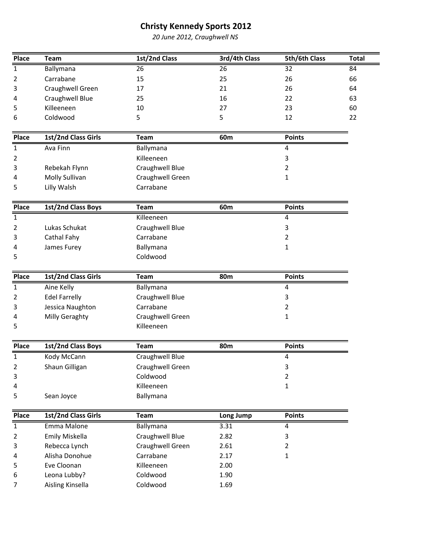20 June 2012, Craughwell NS

| Place          | <b>Team</b>          | 1st/2nd Class    | 3rd/4th Class | 5th/6th Class           | <b>Total</b> |
|----------------|----------------------|------------------|---------------|-------------------------|--------------|
| $\mathbf{1}$   | Ballymana            | 26               | 26            | 32                      | 84           |
| 2              | Carrabane            | 15               | 25            | 26                      | 66           |
| 3              | Craughwell Green     | 17               | 21            | 26                      | 64           |
| 4              | Craughwell Blue      | 25               | 16            | 22                      | 63           |
| 5              | Killeeneen           | 10               | 27            | 23                      | 60           |
| 6              | Coldwood             | 5                | 5             | 12                      | 22           |
|                |                      |                  |               |                         |              |
| Place          | 1st/2nd Class Girls  | Team             | 60m           | <b>Points</b>           |              |
| $\mathbf{1}$   | Ava Finn             | Ballymana        |               | 4                       |              |
| 2              |                      | Killeeneen       |               | 3                       |              |
| 3              | Rebekah Flynn        | Craughwell Blue  |               | $\overline{2}$          |              |
| 4              | Molly Sullivan       | Craughwell Green |               | 1                       |              |
| 5              | Lilly Walsh          | Carrabane        |               |                         |              |
|                |                      |                  |               |                         |              |
| Place          | 1st/2nd Class Boys   | <b>Team</b>      | 60m           | <b>Points</b>           |              |
| $\mathbf{1}$   |                      | Killeeneen       |               | 4                       |              |
| 2              | Lukas Schukat        | Craughwell Blue  |               | $\mathbf{3}$            |              |
| 3              | Cathal Fahy          | Carrabane        |               | $\overline{2}$          |              |
| 4              | James Furey          | Ballymana        |               | 1                       |              |
| 5              |                      | Coldwood         |               |                         |              |
|                |                      |                  |               |                         |              |
| Place          | 1st/2nd Class Girls  | <b>Team</b>      | <b>80m</b>    | <b>Points</b>           |              |
| $\mathbf{1}$   | Aine Kelly           | Ballymana        |               | $\overline{\mathbf{4}}$ |              |
| 2              | <b>Edel Farrelly</b> | Craughwell Blue  |               | 3                       |              |
| 3              | Jessica Naughton     | Carrabane        |               | $\overline{2}$          |              |
| 4              | Milly Geraghty       | Craughwell Green |               | 1                       |              |
| 5              |                      | Killeeneen       |               |                         |              |
|                |                      |                  |               |                         |              |
| Place          | 1st/2nd Class Boys   | Team             | <b>80m</b>    | <b>Points</b>           |              |
| $\mathbf{1}$   | Kody McCann          | Craughwell Blue  |               | 4                       |              |
| 2              | Shaun Gilligan       | Craughwell Green |               | $\mathbf{3}$            |              |
| 3              |                      | Coldwood         |               | $\overline{2}$          |              |
| 4              |                      | Killeeneen       |               | $\mathbf 1$             |              |
| 5              | Sean Joyce           | Ballymana        |               |                         |              |
| Place          | 1st/2nd Class Girls  | <b>Team</b>      | Long Jump     | <b>Points</b>           |              |
| $\mathbf{1}$   | Emma Malone          | Ballymana        | 3.31          | 4                       |              |
| $\overline{2}$ | Emily Miskella       | Craughwell Blue  | 2.82          | $\mathsf{3}$            |              |
| 3              | Rebecca Lynch        | Craughwell Green | 2.61          | $\overline{2}$          |              |
|                | Alisha Donohue       | Carrabane        | 2.17          | $\mathbf{1}$            |              |
| 4              | Eve Cloonan          | Killeeneen       | 2.00          |                         |              |
| 5<br>6         | Leona Lubby?         | Coldwood         | 1.90          |                         |              |
| 7              | Aisling Kinsella     | Coldwood         | 1.69          |                         |              |
|                |                      |                  |               |                         |              |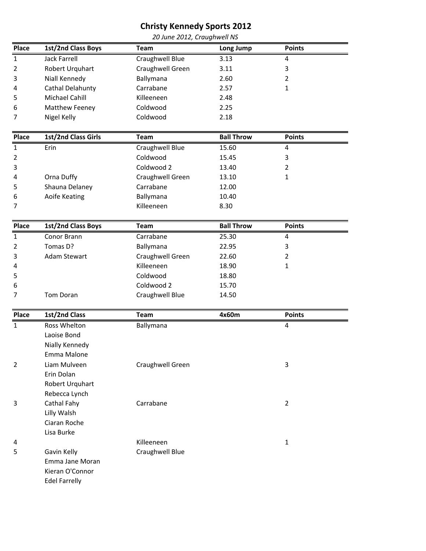| 20 June 2012, Craughwell NS |                     |                  |                   |                |  |
|-----------------------------|---------------------|------------------|-------------------|----------------|--|
| <b>Place</b>                | 1st/2nd Class Boys  | <b>Team</b>      | Long Jump         | <b>Points</b>  |  |
| $\mathbf{1}$                | <b>Jack Farrell</b> | Craughwell Blue  | 3.13              | 4              |  |
| 2                           | Robert Urquhart     | Craughwell Green | 3.11              | 3              |  |
| 3                           | Niall Kennedy       | Ballymana        | 2.60              | $\overline{2}$ |  |
| 4                           | Cathal Delahunty    | Carrabane        | 2.57              | $\mathbf{1}$   |  |
| 5                           | Michael Cahill      | Killeeneen       | 2.48              |                |  |
| 6                           | Matthew Feeney      | Coldwood         | 2.25              |                |  |
| 7                           | Nigel Kelly         | Coldwood         | 2.18              |                |  |
| Place                       | 1st/2nd Class Girls | Team             | <b>Ball Throw</b> | <b>Points</b>  |  |
| $\mathbf 1$                 | Erin                | Craughwell Blue  | 15.60             | 4              |  |
| 2                           |                     | Coldwood         | 15.45             | 3              |  |
| 3                           |                     | Coldwood 2       | 13.40             | $\overline{2}$ |  |
| 4                           | Orna Duffy          | Craughwell Green | 13.10             | $\mathbf{1}$   |  |
| 5                           | Shauna Delaney      | Carrabane        | 12.00             |                |  |
| 6                           | Aoife Keating       | Ballymana        | 10.40             |                |  |
| 7                           |                     | Killeeneen       | 8.30              |                |  |
|                             |                     |                  |                   |                |  |
| Place                       | 1st/2nd Class Boys  | Team             | <b>Ball Throw</b> | <b>Points</b>  |  |
| $\mathbf{1}$                | Conor Brann         | Carrabane        | 25.30             | 4              |  |
| 2                           | Tomas D?            | Ballymana        | 22.95             | 3              |  |
| 3                           | <b>Adam Stewart</b> | Craughwell Green | 22.60             | $\overline{2}$ |  |
| 4                           |                     | Killeeneen       | 18.90             | $\mathbf{1}$   |  |
| 5                           |                     | Coldwood         | 18.80             |                |  |
| 6                           |                     | Coldwood 2       | 15.70             |                |  |
| 7                           | <b>Tom Doran</b>    | Craughwell Blue  | 14.50             |                |  |
|                             |                     |                  |                   |                |  |
| Place                       | 1st/2nd Class       | Team             | 4x60m             | <b>Points</b>  |  |
| $\mathbf{1}$                | Ross Whelton        | Ballymana        |                   | 4              |  |
|                             | Laoise Bond         |                  |                   |                |  |
|                             | Nially Kennedy      |                  |                   |                |  |
|                             | Emma Malone         |                  |                   |                |  |
| $\overline{2}$              | Liam Mulveen        | Craughwell Green |                   | 3              |  |
|                             | Erin Dolan          |                  |                   |                |  |
|                             | Robert Urquhart     |                  |                   |                |  |
|                             | Rebecca Lynch       |                  |                   |                |  |
| 3                           | Cathal Fahy         | Carrabane        |                   | $\overline{2}$ |  |
|                             | Lilly Walsh         |                  |                   |                |  |

Ciaran Roche Lisa Burke 4 Killeeneen 1 5 Gavin Kelly Emma Jane Moran Kieran O'Connor Craughwell Blue

Edel Farrelly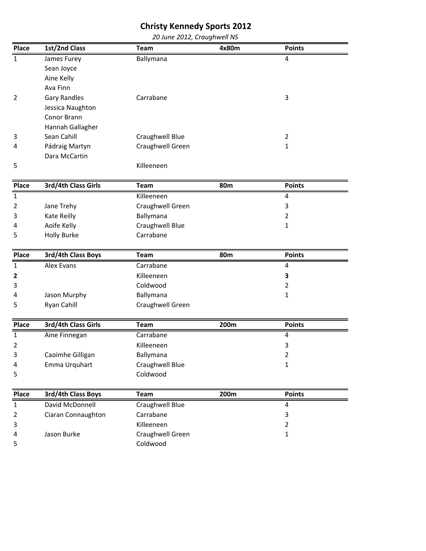#### Christy Kennedy Sports 2012 20 June 2012, Craughwell NS

| Place          | 1st/2nd Class       | <b>Team</b>            | 4x80m      | <b>Points</b>  |
|----------------|---------------------|------------------------|------------|----------------|
| $\mathbf{1}$   | James Furey         | Ballymana              |            | 4              |
|                | Sean Joyce          |                        |            |                |
|                | Aine Kelly          |                        |            |                |
|                | Ava Finn            |                        |            |                |
| $\overline{2}$ | <b>Gary Randles</b> | Carrabane              |            | 3              |
|                | Jessica Naughton    |                        |            |                |
|                | Conor Brann         |                        |            |                |
|                | Hannah Gallagher    |                        |            |                |
| 3              | Sean Cahill         | <b>Craughwell Blue</b> |            | $\overline{2}$ |
| 4              | Pádraig Martyn      | Craughwell Green       |            | 1              |
|                | Dara McCartin       |                        |            |                |
| 5              |                     | Killeeneen             |            |                |
| Place          | 3rd/4th Class Girls | <b>Team</b>            | <b>80m</b> | <b>Points</b>  |
| $\mathbf{1}$   |                     | Killeeneen             |            | 4              |
| 2              | Jane Trehy          | Craughwell Green       |            | 3              |
| 3              | Kate Reilly         | Ballymana              |            | 2              |
| 4              | Aoife Kelly         | Craughwell Blue        |            | 1              |
| 5              | <b>Holly Burke</b>  | Carrabane              |            |                |
|                |                     |                        |            |                |
| Place          | 3rd/4th Class Boys  | <b>Team</b>            | <b>80m</b> | <b>Points</b>  |
| $\mathbf{1}$   | Alex Evans          | Carrabane              |            | 4              |
| 2              |                     | Killeeneen             |            | 3              |
| 3              |                     | Coldwood               |            | $\overline{2}$ |
| 4              | Jason Murphy        | Ballymana              |            | 1              |
| 5              | Ryan Cahill         | Craughwell Green       |            |                |
|                |                     |                        |            |                |
| Place          | 3rd/4th Class Girls | <b>Team</b>            | 200m       | <b>Points</b>  |
| $\mathbf 1$    | Aine Finnegan       | Carrabane              |            | 4              |
| 2              |                     | Killeeneen             |            | 3              |
| 3              | Caoimhe Gilligan    | Ballymana              |            | $\overline{2}$ |
| 4              | Emma Urquhart       | Craughwell Blue        |            | 1              |
| 5              |                     | Coldwood               |            |                |
| Place          | 3rd/4th Class Boys  | Team                   | 200m       | <b>Points</b>  |
| $\mathbf{1}$   | David McDonnell     | <b>Craughwell Blue</b> |            | 4              |
| $\overline{2}$ | Ciaran Connaughton  | Carrabane              |            | 3              |
| 3              |                     | Killeeneen             |            | $\overline{2}$ |
| 4              | Jason Burke         | Craughwell Green       |            | $\mathbf{1}$   |
| 5              |                     | Coldwood               |            |                |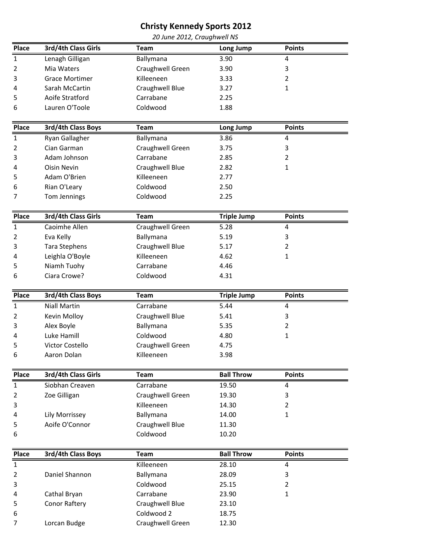| 20 June 2012, Craughwell NS |                       |                  |                    |                |  |
|-----------------------------|-----------------------|------------------|--------------------|----------------|--|
| Place                       | 3rd/4th Class Girls   | <b>Team</b>      | Long Jump          | <b>Points</b>  |  |
| $\mathbf{1}$                | Lenagh Gilligan       | Ballymana        | 3.90               | 4              |  |
| 2                           | Mia Waters            | Craughwell Green | 3.90               | 3              |  |
| 3                           | <b>Grace Mortimer</b> | Killeeneen       | 3.33               | 2              |  |
| 4                           | Sarah McCartin        | Craughwell Blue  | 3.27               | $\mathbf{1}$   |  |
| 5                           | Aoife Stratford       | Carrabane        | 2.25               |                |  |
| 6                           | Lauren O'Toole        | Coldwood         | 1.88               |                |  |
| Place                       | 3rd/4th Class Boys    | <b>Team</b>      | Long Jump          | <b>Points</b>  |  |
| $\mathbf{1}$                | Ryan Gallagher        | Ballymana        | 3.86               | 4              |  |
| 2                           | Cian Garman           | Craughwell Green | 3.75               | 3              |  |
| 3                           | Adam Johnson          | Carrabane        | 2.85               | $\overline{2}$ |  |
| 4                           | <b>Oisin Nevin</b>    | Craughwell Blue  | 2.82               | $\mathbf{1}$   |  |
| 5                           | Adam O'Brien          | Killeeneen       | 2.77               |                |  |
| 6                           | Rian O'Leary          | Coldwood         | 2.50               |                |  |
| 7                           | Tom Jennings          | Coldwood         | 2.25               |                |  |
|                             |                       |                  |                    |                |  |
| Place                       | 3rd/4th Class Girls   | <b>Team</b>      | <b>Triple Jump</b> | <b>Points</b>  |  |
| $\mathbf{1}$                | Caoimhe Allen         | Craughwell Green | 5.28               | 4              |  |
| 2                           | Eva Kelly             | Ballymana        | 5.19               | 3              |  |
| 3                           | <b>Tara Stephens</b>  | Craughwell Blue  | 5.17               | 2              |  |
| 4                           | Leighla O'Boyle       | Killeeneen       | 4.62               | $\mathbf{1}$   |  |
| 5                           | Niamh Tuohy           | Carrabane        | 4.46               |                |  |
| 6                           | Ciara Crowe?          | Coldwood         | 4.31               |                |  |
| Place                       | 3rd/4th Class Boys    | <b>Team</b>      | <b>Triple Jump</b> | <b>Points</b>  |  |
| $\mathbf{1}$                | <b>Niall Martin</b>   | Carrabane        | 5.44               | 4              |  |
| 2                           | Kevin Molloy          | Craughwell Blue  | 5.41               | 3              |  |
| 3                           | Alex Boyle            | Ballymana        | 5.35               | 2              |  |
| 4                           | Luke Hamill           | Coldwood         | 4.80               | $\mathbf{1}$   |  |
| 5                           | Victor Costello       | Craughwell Green | 4.75               |                |  |
| 6                           | Aaron Dolan           | Killeeneen       | 3.98               |                |  |
| Place                       | 3rd/4th Class Girls   | <b>Team</b>      | <b>Ball Throw</b>  | <b>Points</b>  |  |
| $\mathbf{1}$                | Siobhan Creaven       | Carrabane        | 19.50              | 4              |  |
| $\overline{2}$              | Zoe Gilligan          | Craughwell Green | 19.30              | 3              |  |
| 3                           |                       | Killeeneen       | 14.30              | $\overline{2}$ |  |
| 4                           | Lily Morrissey        | Ballymana        | 14.00              | $\mathbf{1}$   |  |
| 5                           | Aoife O'Connor        | Craughwell Blue  | 11.30              |                |  |
| 6                           |                       | Coldwood         | 10.20              |                |  |
|                             |                       |                  |                    |                |  |
| Place                       | 3rd/4th Class Boys    | Team             | <b>Ball Throw</b>  | <b>Points</b>  |  |
| $\mathbf 1$                 |                       | Killeeneen       | 28.10              | 4              |  |
| $\overline{2}$              | Daniel Shannon        | Ballymana        | 28.09              | 3              |  |
| 3                           |                       | Coldwood         | 25.15              | $\overline{2}$ |  |
| 4                           | Cathal Bryan          | Carrabane        | 23.90              | $\mathbf{1}$   |  |
| 5                           | Conor Raftery         | Craughwell Blue  | 23.10              |                |  |
| 6                           |                       | Coldwood 2       | 18.75              |                |  |

7 Lorcan Budge Craughwell Green 12.30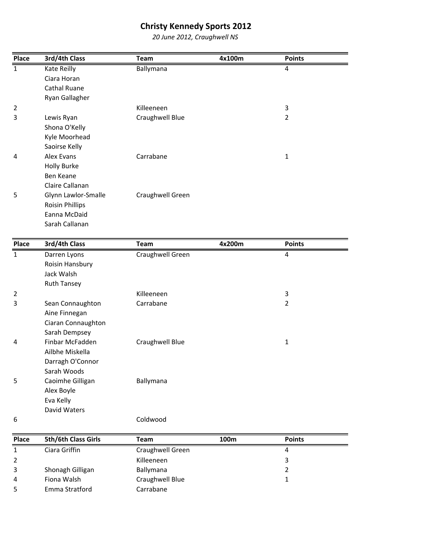20 June 2012, Craughwell NS

| Place          | 3rd/4th Class          | Team             | 4x100m | <b>Points</b> |  |
|----------------|------------------------|------------------|--------|---------------|--|
| $\mathbf{1}$   | Kate Reilly            | Ballymana        |        | 4             |  |
|                | Ciara Horan            |                  |        |               |  |
|                | Cathal Ruane           |                  |        |               |  |
|                | Ryan Gallagher         |                  |        |               |  |
| $\overline{2}$ |                        | Killeeneen       |        | 3             |  |
| 3              | Lewis Ryan             | Craughwell Blue  |        | 2             |  |
|                | Shona O'Kelly          |                  |        |               |  |
|                | Kyle Moorhead          |                  |        |               |  |
|                | Saoirse Kelly          |                  |        |               |  |
| 4              | Alex Evans             | Carrabane        |        | 1             |  |
|                | <b>Holly Burke</b>     |                  |        |               |  |
|                | Ben Keane              |                  |        |               |  |
|                | Claire Callanan        |                  |        |               |  |
| 5              | Glynn Lawlor-Smalle    | Craughwell Green |        |               |  |
|                | <b>Roisin Phillips</b> |                  |        |               |  |
|                | Eanna McDaid           |                  |        |               |  |
|                | Sarah Callanan         |                  |        |               |  |

| Place          | 3rd/4th Class      | Team             | 4x200m | <b>Points</b> |  |
|----------------|--------------------|------------------|--------|---------------|--|
| $\overline{1}$ | Darren Lyons       | Craughwell Green |        | 4             |  |
|                | Roisin Hansbury    |                  |        |               |  |
|                | Jack Walsh         |                  |        |               |  |
|                | <b>Ruth Tansey</b> |                  |        |               |  |
| 2              |                    | Killeeneen       |        | 3             |  |
| 3              | Sean Connaughton   | Carrabane        |        | 2             |  |
|                | Aine Finnegan      |                  |        |               |  |
|                | Ciaran Connaughton |                  |        |               |  |
|                | Sarah Dempsey      |                  |        |               |  |
| 4              | Finbar McFadden    | Craughwell Blue  |        | 1             |  |
|                | Ailbhe Miskella    |                  |        |               |  |
|                | Darragh O'Connor   |                  |        |               |  |
|                | Sarah Woods        |                  |        |               |  |
| 5              | Caoimhe Gilligan   | Ballymana        |        |               |  |
|                | Alex Boyle         |                  |        |               |  |
|                | Eva Kelly          |                  |        |               |  |
|                | David Waters       |                  |        |               |  |
| 6              |                    | Coldwood         |        |               |  |

| <b>Place</b> | 5th/6th Class Girls | Team             | 100m | <b>Points</b> |
|--------------|---------------------|------------------|------|---------------|
|              | Ciara Griffin       | Craughwell Green |      | 4             |
|              |                     | Killeeneen       |      |               |
|              | Shonagh Gilligan    | <b>Ballymana</b> |      |               |
| 4            | Fiona Walsh         | Craughwell Blue  |      |               |
|              | Emma Stratford      | Carrabane        |      |               |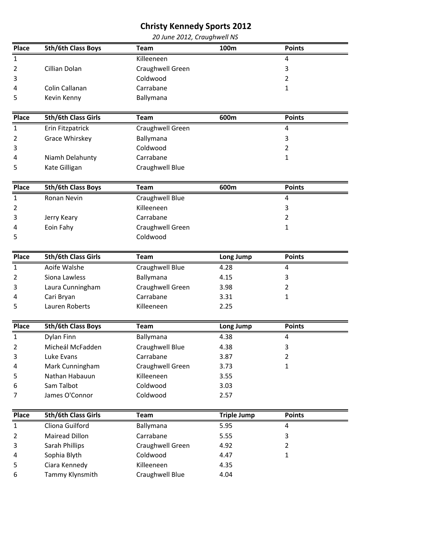|                |                     | 20 June 2012, Craughwell NS |           |               |  |
|----------------|---------------------|-----------------------------|-----------|---------------|--|
| Place          | 5th/6th Class Boys  | <b>Team</b>                 | 100m      | <b>Points</b> |  |
| $\mathbf{1}$   |                     | Killeeneen                  |           | 4             |  |
| 2              | Cillian Dolan       | Craughwell Green            |           | 3             |  |
| 3              |                     | Coldwood                    |           | 2             |  |
| 4              | Colin Callanan      | Carrabane                   |           | 1             |  |
| 5              | Kevin Kenny         | Ballymana                   |           |               |  |
|                |                     |                             |           |               |  |
| Place          | 5th/6th Class Girls | Team                        | 600m      | <b>Points</b> |  |
| $\mathbf 1$    | Erin Fitzpatrick    | Craughwell Green            |           | 4             |  |
| 2              | Grace Whirskey      | Ballymana                   |           | 3             |  |
| 3              |                     | Coldwood                    |           | 2             |  |
| 4              | Niamh Delahunty     | Carrabane                   |           | 1             |  |
| 5              | Kate Gilligan       | Craughwell Blue             |           |               |  |
|                |                     |                             |           |               |  |
| Place          | 5th/6th Class Boys  | <b>Team</b>                 | 600m      | <b>Points</b> |  |
| $\overline{1}$ | Ronan Nevin         | Craughwell Blue             |           | 4             |  |
| 2              |                     | Killeeneen                  |           | 3             |  |
| 3              | Jerry Keary         | Carrabane                   |           | 2             |  |
| 4              | Eoin Fahy           | Craughwell Green            |           | 1             |  |
| 5              |                     | Coldwood                    |           |               |  |
|                |                     |                             |           |               |  |
| Place          | 5th/6th Class Girls | <b>Team</b>                 | Long Jump | <b>Points</b> |  |

| . | JUIT CIUSS UIIIS | . ca             | LUIIS JUIIIN | נוווט ו |  |
|---|------------------|------------------|--------------|---------|--|
|   | Aoife Walshe     | Craughwell Blue  | 4.28         |         |  |
|   | Siona Lawless    | Ballymana        | 4.15         |         |  |
|   | Laura Cunningham | Craughwell Green | 3.98         |         |  |
|   | Cari Bryan       | Carrabane        | 3.31         |         |  |
|   | Lauren Roberts   | Killeeneen       | 2.25         |         |  |
|   |                  |                  |              |         |  |

| Place          | <b>5th/6th Class Boys</b> | Team             | Long Jump | <b>Points</b> |  |
|----------------|---------------------------|------------------|-----------|---------------|--|
| 1              | Dylan Finn                | Ballymana        | 4.38      |               |  |
| 2              | Micheál McFadden          | Craughwell Blue  | 4.38      |               |  |
| 3              | Luke Evans                | Carrabane        | 3.87      |               |  |
| $\overline{4}$ | Mark Cunningham           | Craughwell Green | 3.73      |               |  |
| 5              | Nathan Habauun            | Killeeneen       | 3.55      |               |  |
| 6              | Sam Talbot                | Coldwood         | 3.03      |               |  |
|                | James O'Connor            | Coldwood         | 2.57      |               |  |

| Place          | 5th/6th Class Girls   | Team             | <b>Triple Jump</b> | <b>Points</b> |  |
|----------------|-----------------------|------------------|--------------------|---------------|--|
| 1              | Cliona Guilford       | Ballymana        | 5.95               | 4             |  |
| $\overline{2}$ | <b>Mairead Dillon</b> | Carrabane        | 5.55               |               |  |
| 3              | Sarah Phillips        | Craughwell Green | 4.92               |               |  |
| $\overline{4}$ | Sophia Blyth          | Coldwood         | 4.47               |               |  |
| 5              | Ciara Kennedy         | Killeeneen       | 4.35               |               |  |
| 6              | Tammy Klynsmith       | Craughwell Blue  | 4.04               |               |  |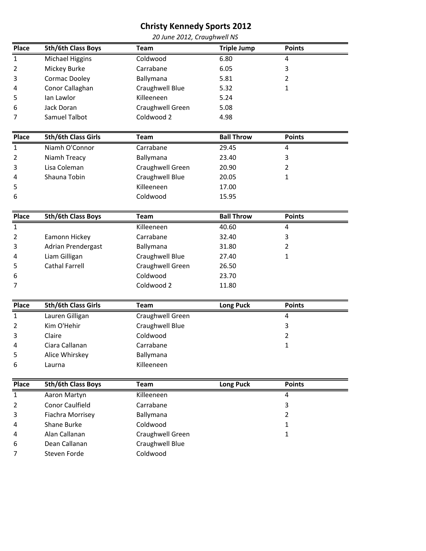| 20 June 2012, Craughwell NS |
|-----------------------------|
|-----------------------------|

| Place        | 5th/6th Class Boys         | <b>Team</b>      | <b>Triple Jump</b> | <b>Points</b>  |  |
|--------------|----------------------------|------------------|--------------------|----------------|--|
| $\mathbf{1}$ | <b>Michael Higgins</b>     | Coldwood         | 6.80               | 4              |  |
| 2            | Mickey Burke               | Carrabane        | 6.05               | 3              |  |
| 3            | Cormac Dooley              | Ballymana        | 5.81               | 2              |  |
| 4            | Conor Callaghan            | Craughwell Blue  | 5.32               | $\mathbf{1}$   |  |
| 5            | lan Lawlor                 | Killeeneen       | 5.24               |                |  |
| 6            | Jack Doran                 | Craughwell Green | 5.08               |                |  |
| 7            | Samuel Talbot              | Coldwood 2       | 4.98               |                |  |
| Place        | 5th/6th Class Girls        | Team             | <b>Ball Throw</b>  | <b>Points</b>  |  |
| $\mathbf 1$  | Niamh O'Connor             | Carrabane        | 29.45              | 4              |  |
| 2            | Niamh Treacy               | Ballymana        | 23.40              | 3              |  |
| 3            | Lisa Coleman               | Craughwell Green | 20.90              | 2              |  |
| 4            | Shauna Tobin               | Craughwell Blue  | 20.05              | $\mathbf{1}$   |  |
| 5            |                            | Killeeneen       | 17.00              |                |  |
| 6            |                            | Coldwood         | 15.95              |                |  |
| Place        | 5th/6th Class Boys         | <b>Team</b>      | <b>Ball Throw</b>  | <b>Points</b>  |  |
| $\mathbf 1$  |                            | Killeeneen       | 40.60              | 4              |  |
| 2            | Eamonn Hickey              | Carrabane        | 32.40              | 3              |  |
| 3            | Adrian Prendergast         | Ballymana        | 31.80              | 2              |  |
| 4            | Liam Gilligan              | Craughwell Blue  | 27.40              | 1              |  |
| 5            | <b>Cathal Farrell</b>      | Craughwell Green | 26.50              |                |  |
| 6            |                            | Coldwood         | 23.70              |                |  |
| 7            |                            | Coldwood 2       | 11.80              |                |  |
| Place        | <b>5th/6th Class Girls</b> | Team             | Long Puck          | <b>Points</b>  |  |
| $\mathbf{1}$ | Lauren Gilligan            | Craughwell Green |                    | 4              |  |
| 2            | Kim O'Hehir                | Craughwell Blue  |                    | 3              |  |
| 3            | Claire                     | Coldwood         |                    | $\overline{2}$ |  |
| 4            | Ciara Callanan             | Carrabane        |                    | $\mathbf{1}$   |  |
| 5            | Alice Whirskey             | Ballymana        |                    |                |  |
| 6            | Laurna                     | Killeeneen       |                    |                |  |
| Place        | 5th/6th Class Boys         | Team             | <b>Long Puck</b>   | <b>Points</b>  |  |
| $\mathbf{1}$ | Aaron Martyn               | Killeeneen       |                    | 4              |  |
| 2            | <b>Conor Caulfield</b>     | Carrabane        |                    | 3              |  |
| 3            | Fiachra Morrisey           | Ballymana        |                    | $\overline{2}$ |  |
| 4            | Shane Burke                | Coldwood         |                    | 1              |  |
| 4            | Alan Callanan              | Craughwell Green |                    | $\mathbf{1}$   |  |
| 6            | Dean Callanan              | Craughwell Blue  |                    |                |  |
| 7            | Steven Forde               | Coldwood         |                    |                |  |
|              |                            |                  |                    |                |  |